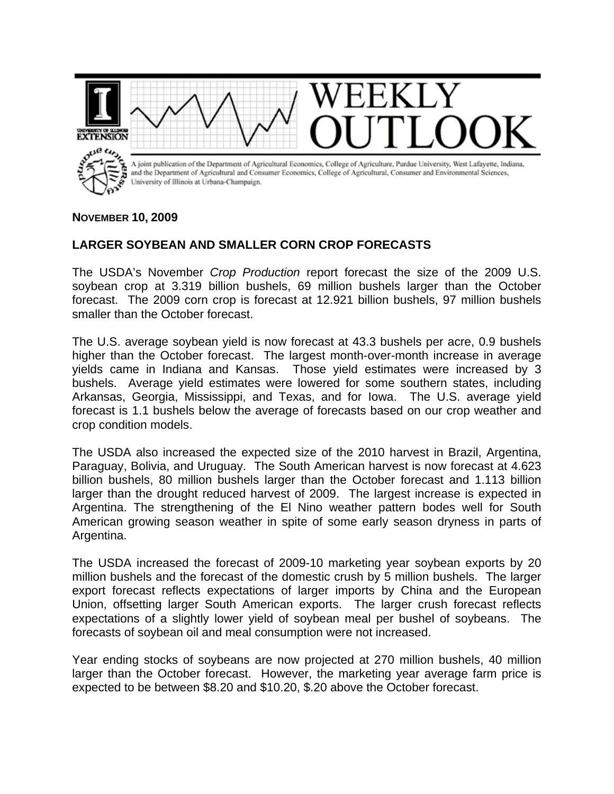

## **NOVEMBER 10, 2009**

## **LARGER SOYBEAN AND SMALLER CORN CROP FORECASTS**

The USDA's November *Crop Production* report forecast the size of the 2009 U.S. soybean crop at 3.319 billion bushels, 69 million bushels larger than the October forecast. The 2009 corn crop is forecast at 12.921 billion bushels, 97 million bushels smaller than the October forecast.

The U.S. average soybean yield is now forecast at 43.3 bushels per acre, 0.9 bushels higher than the October forecast. The largest month-over-month increase in average yields came in Indiana and Kansas. Those yield estimates were increased by 3 bushels. Average yield estimates were lowered for some southern states, including Arkansas, Georgia, Mississippi, and Texas, and for Iowa. The U.S. average yield forecast is 1.1 bushels below the average of forecasts based on our crop weather and crop condition models.

The USDA also increased the expected size of the 2010 harvest in Brazil, Argentina, Paraguay, Bolivia, and Uruguay. The South American harvest is now forecast at 4.623 billion bushels, 80 million bushels larger than the October forecast and 1.113 billion larger than the drought reduced harvest of 2009. The largest increase is expected in Argentina. The strengthening of the El Nino weather pattern bodes well for South American growing season weather in spite of some early season dryness in parts of Argentina.

The USDA increased the forecast of 2009-10 marketing year soybean exports by 20 million bushels and the forecast of the domestic crush by 5 million bushels. The larger export forecast reflects expectations of larger imports by China and the European Union, offsetting larger South American exports. The larger crush forecast reflects expectations of a slightly lower yield of soybean meal per bushel of soybeans. The forecasts of soybean oil and meal consumption were not increased.

Year ending stocks of soybeans are now projected at 270 million bushels, 40 million larger than the October forecast. However, the marketing year average farm price is expected to be between \$8.20 and \$10.20, \$.20 above the October forecast.